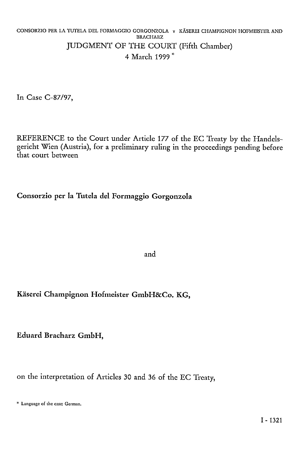#### CONSORZIO PER LA TUTELA DEL FORMAGGIO GORGONZOLA v KÄSEREI CHAMPIGNON HOFMEISTER AND **BRACHARZ** JUDGMENT OF THE COURT (Fifth Chamber) 4 March 1999 \*

In Case C-87/97,

REFERENCE to the Court under Article 177 of the EC Treaty by the Handelsgericht Wien (Austria), for a preliminary ruling in the proceedings pending before that court between

# **Consorzio per la Tutela del Formaggio Gorgonzola**

and

# **Käserei Champignon Hofmeister GmbH&Co. KG,**

**Eduard** Bracharz **GmbH,** 

on the interpretation of Articles 30 and 36 of the EC Treaty,

<sup>\*</sup> Language of the case: German.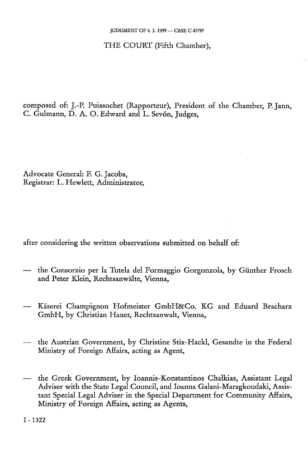THE COURT (Fifth Chamber),

composed of: J.-P. Puissochet (Rapporteur), President of the Chamber, P. Jann, C. Gulmann, D. A. O. Edward and L. Sevón, Judges,

Advocate General: F. G. Jacobs, Registrar: L. Hewlett, Administrator,

after considering the written observations submitted on behalf of:

- the Consorzio per la Tutela del Formaggio Gorgonzola, by Günther Frosch and Peter Klein, Rechtsanwälte, Vienna,
- Käserei Champignon Hofmeister GmbH&Co. KG and Eduard Bracharz GmbH, by Christian Hauer, Rechtsanwalt, Vienna,
- the Austrian Government, by Christine Stix-Hackl, Gesandte in the Federal Ministry of Foreign Affairs, acting as Agent,
- the Greek Government, by Ioannis-Konstantinos Chalkias, Assistant Legal Adviser with the State Legal Council, and Ioanna Galani-Maragkoudaki, Assistant Special Legal Adviser in the Special Department for Community Affairs, Ministry of Foreign Affairs, acting as Agents,

I - 1322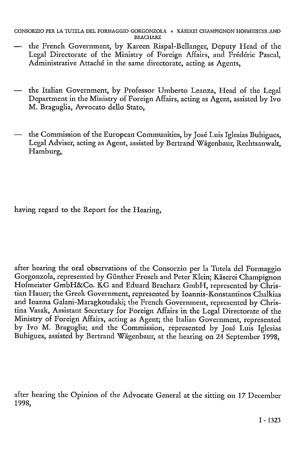```
CONSORZIO PER LA TUTELA DEL FORMAGGIO GORGONZOLA v KÄSEREI CHAMPIGNON HOFMEISTER AND 
                           BRACHARZ
```
- the French Government, by Kareen Rispal-Bellanger, Deputy Head of the Legal Directorate of the Ministry of Foreign Affairs, and Frederic Pascal, Administrative Attache in the same directorate, acting as Agents,
- the Italian Government, by Professor Umberto Leanza, Head of the Legal Department in the Ministry of Foreign Affairs, acting as Agent, assisted by Ivo M. Braguglia, Avvocato dello Stato,
- the Commission of the European Communities, by José Luis Iglesias Buhigues, Legal Adviser, acting as Agent, assisted by Bertrand Wägcnbaur, Rechtsanwalt, Hamburg,

having regard to the Report for the Hearing,

after hearing the oral observations of the Consorzio per la Tutela del Formaggio Gorgonzola, represented by Günther Frosch and Peter Klein; Käserei Champignon Hofmeister GmbH&Co. KG and Eduard Bracharz GmbH, represented by Christian Hauer; the Greek Government, represented by loannis-Konstantinos Chalkias and Ioanna Galani-Maragkoudaki; the French Government, represented by Christina Vasak, Assistant Secretary for Foreign Affairs in the Legal Directorate of the Ministry of Foreign Affairs, acting as Agent; the Italian Government, represented by Ivo M. Braguglia; and the Commission, represented by José Luis Iglesias Buhigues, assisted by Bertrand Wägenbaur, at the hearing on 24 September 1998,

after hearing the Opinion of the Advocate General at the sitting on 17 December 1998,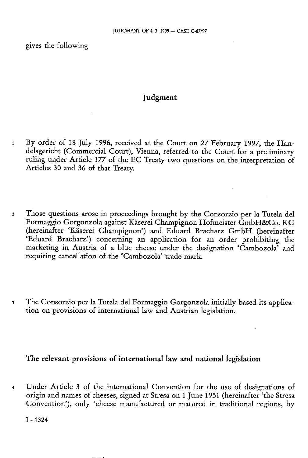gives the following

### **Judgment**

- 1 By order of 18 July 1996, received at the Court on 27 February 1997, the Handelsgericht (Commercial Court), Vienna, referred to the Court for a preliminary ruling under Article 177 of the EC Treaty two questions on the interpretation of Articles 30 and 36 of that Treaty.
- 2 Those questions arose in proceedings brought by the Consorzio per la Tutela del Formaggio Gorgonzola against Käserei Champignon Hofmeister GmbH&Co. KG (hereinafter 'Käserei Champignon') and Eduard Bracharz GmbH (hereinafter 'Eduard Bracharz') concerning an application for an order prohibiting the marketing in Austria of a blue cheese under the designation 'Cambozola' and requiring cancellation of the 'Cambozola' trade mark.
- 3 The Consorzio per la Tutela del Formaggio Gorgonzola initially based its application on provisions of international law and Austrian legislation.

#### **The relevant provisions of international law and national legislation**

4 Under Article 3 of the international Convention for the use of designations of origin and names of cheeses, signed at Stresa on 1 June 1951 (hereinafter 'the Stresa Convention'), only 'cheese manufactured or matured in traditional regions, by

I - 1324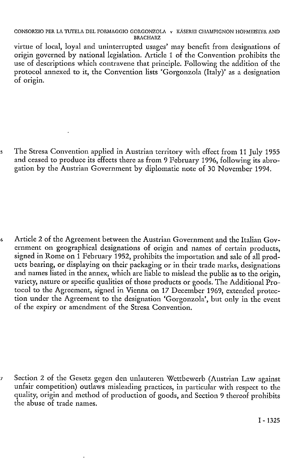virtue of local, loyal and uninterrupted usages' may benefit from designations of origin governed by national legislation. Article 1 of the Convention prohibits the use of descriptions which contravene that principle. Following the addition of the protocol annexed to it, the Convention lists 'Gorgonzola (Italy)' as a designation of origin.

5 The Stresa Convention applied in Austrian territory with effect from 11 July 1955 and ceased to produce its effects there as from 9 February 1996, following its abrogation by the Austrian Government by diplomatic note of 30 November 1994.

6 Article 2 of the Agreement between the Austrian Government and the Italian Government on geographical designations of origin and names of certain products, signed in Rome on 1 February 1952, prohibits the importation and sale of all products bearing, or displaying on their packaging or in their trade marks, designations and names listed in the annex, which are liable to mislead the public as to the origin, variety, nature or specific qualities of those products or goods. The Additional Protocol to the Agreement, signed in Vienna on 17 December 1969, extended protection under the Agreement to the designation 'Gorgonzola', but only in the event of the expiry or amendment of the Stresa Convention.

7 Section 2 of the Gesetz gegen den unlauteren Wettbewerb (Austrian Law against unfair competition) outlaws misleading practices, in particular with respect to the quality, origin and method of production of goods, and Section 9 thereof prohibits the abuse of trade names.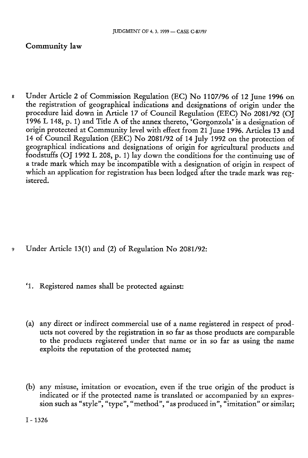## **Community law**

8 Under Article 2 of Commission Regulation (EC) No 1107/96 of 12 June 1996 on the registration of geographical indications and designations of origin under the procedure laid down in Article 17 of Council Regulation (EEC) No 2081/92 (OJ 1996 L 148, p. 1) and Title A of the annex thereto, 'Gorgonzola' is a designation of origin protected at Community level with effect from 21 June 1996. Articles 13 and 14 of Council Regulation (EEC) No 2081/92 of 14 July 1992 on the protection of geographical indications and designations of origin for agricultural products and foodstuffs (OJ 1992 L 208, p. 1) lay down the conditions for the continuing use of a trade mark which may be incompatible with a designation of origin in respect of which an application for registration has been lodged after the trade mark was registered.

- 9 Under Article 13(1) and (2) of Regulation No 2081/92:
	- ' 1 . Registered names shall be protected against:
	- (a) any direct or indirect commercial use of a name registered in respect of products not covered by the registration in so far as those products are comparable to the products registered under that name or in so far as using the name exploits the reputation of the protected name;
	- (b) any misuse, imitation or evocation, even if the true origin of the product is indicated or if the protected name is translated or accompanied by an expression such as "style", "type", "method", "as produced in", "imitation" or similar;

I - 1326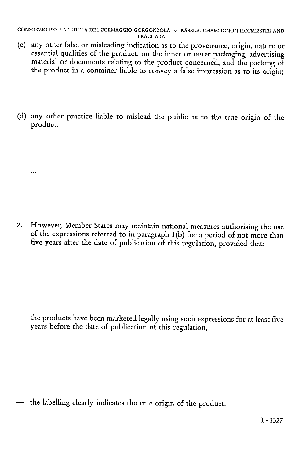- (c) any other false or misleading indication as to the provenance, origin, nature or essential qualities of the product, on the inner or outer packaging, advertising material or documents relating to the product concerned, and the packing of the product in a container liable to convey a false impression as to its origin;
- (d) any other practice liable to mislead the public as to the true origin of the product.
	- $\ddotsc$
- 2. However, Member States may maintain national measures authorising the use of the expressions referred to in paragraph 1(b) for a period of not more than five years after the date of publication of this regulation, provided that:

— the products have been marketed legally using such expressions for at least five years before the date of publication of this regulation,

— the labelling clearly indicates the true origin of the product.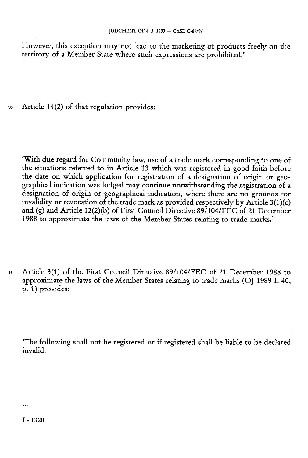However, this exception may not lead to the marketing of products freely on the territory of a Member State where such expressions are prohibited.'

io Article 14(2) of that regulation provides:

'With due regard for Community law, use of a trade mark corresponding to one of the situations referred to in Article 13 which was registered in good faith before the date on which application for registration of a designation of origin or geographical indication was lodged may continue notwithstanding the registration of a designation of origin or geographical indication, where there are no grounds for invalidity or revocation of the trade mark as provided respectively by Article  $3(1)(c)$ and (g) and Article 12(2)(b) of First Council Directive 89/104/EEC of 21 December 1988 to approximate the laws of the Member States relating to trade marks.'

n Article 3(1) of the First Council Directive 89/104/EEC of 21 December 1988 to approximate the laws of the Member States relating to trade marks (OJ 1989 L 40, p. 1) provides:

'The following shall not be registered or if registered shall be liable to be declared invalid: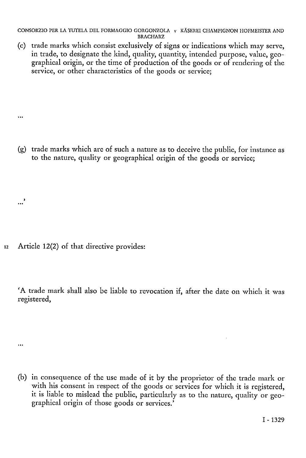(c) trade marks which consist exclusively of signs or indications which may serve, in trade, to designate the kind, quality, quantity, intended purpose, value, geographical origin, or the time of production of the goods or of rendering of the service, or other characteristics of the goods or service:

(g) trade marks which are of such a nature as to deceive the public, for instance as to the nature, quality or geographical origin of the goods or service;

12 Article 12(2) of that directive provides:

.<br>...

 $\ddotsc$ 

 $\ddotsc$ 

'A trade mark shall also be liable to revocation if, after the date on which it was registered,

(b) in consequence of the use made of it by the proprietor of the trade mark or with his consent in respect of the goods or services for which it is registered, it is liable to mislead the public, particularly as to the nature, quality or geographical origin of those goods or services.'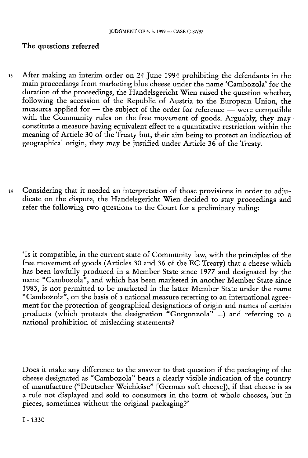#### The questions referred

- i3 After making an interim order on 24 June 1994 prohibiting the defendants in the main proceedings from marketing blue cheese under the name 'Cambozola' for the duration of the proceedings, the Handelsgericht Wien raised the question whether, following the accession of the Republic of Austria to the European Union, the measures applied for — the subject of the order for reference — were compatible with the Community rules on the free movement of goods. Arguably, they may constitute a measure having equivalent effect to a quantitative restriction within the meaning of Article 30 of the Treaty but, their aim being to protect an indication of geographical origin, they may be justified under Article 36 of the Treaty.
- 14 Considering that it needed an interpretation of those provisions in order to adjudicate on the dispute, the Handelsgericht Wien decided to stay proceedings and refer the following two questions to the Court for a preliminary ruling:

'Is it compatible, in the current state of Community law, with the principles of the free movement of goods (Articles 30 and 36 of the EC Treaty) that a cheese which has been lawfully produced in a Member State since 1977 and designated by the name "Cambozola", and which has been marketed in another Member State since 1983, is not permitted to be marketed in the latter Member State under the name "Cambozola", on the basis of a national measure referring to an international agreement for the protection of geographical designations of origin and names of certain products (which protects the designation "Gorgonzola" ...) and referring to a national prohibition of misleading statements?

Does it make any difference to the answer to that question if the packaging of the cheese designated as "Cambozola" bears a clearly visible indication of the country of manufacture ("Deutscher Weichkäse" [German soft cheese]), if that cheese is as a rule not displayed and sold to consumers in the form of whole cheeses, but in pieces, sometimes without the original packaging?'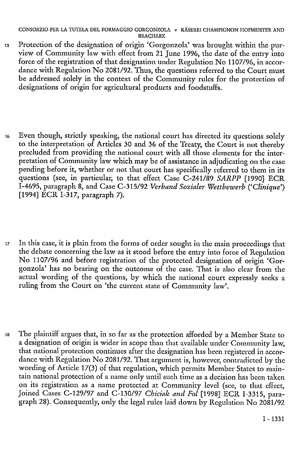- is Protection of the designation of origin 'Gorgonzola' was brought within the purview of Community law with effect from 21 June 1996, the date of the entry into force of the registration of that designation under Regulation No 1107/96, in accordance with Regulation No 2081/92. Thus, the questions referred to the Court must be addressed solely in the context of the Community rules for the protection of designations of origin for agricultural products and foodstuffs.
- 16 Even though, strictly speaking, the national court has directed its questions solely to the interpretation of Articles 30 and 36 of the Treaty, the Court is not thereby precluded from providing the national court with all those elements for the interpretation of Community law which may be of assistance in adjudicating on the case pending before it, whether or not that court has specifically referred to them in its questions (see, in particular, to that effect Case C-241/89 SARPP [1990] ECR 1-4695, paragraph 8, and Case C-315/92 *Verband Sozialer Wettbewerb ('Clinique')*  [1994] ECR 1-317, paragraph 7).
- <sup>17</sup> In this case, it is plain from the forms of order sought in the main proceedings that the debate concerning the law as it stood before the entry into force of Regulation No 1107/96 and before registration of the protected designation of origin 'Gorgonzola' has no bearing on the outcome of the case. That is also clear from the actual wording of the questions, by which the national court expressly seeks a ruling from the Court on 'the current state of Community law'.
- is The plaintiff argues that, in so far as the protection afforded by a Member State to a designation of origin is wider in scope than that available under Community law, that national protection continues after the designation has been registered in accordance with Regulation No 2081/92. That argument is, however, contradicted by the wording of Article 17(3) of that regulation, which permits Member States to maintain national protection of a name only until such time as a decision has been taken on its registration as a name protected at Community level (see, to that effect, Joined Cases C-129/97 and C-130/97 *Chiciak and Fol* [1998] ECR 1-3315, paragraph 28). Consequently, only the legal rules laid down by Regulation No  $2081/92$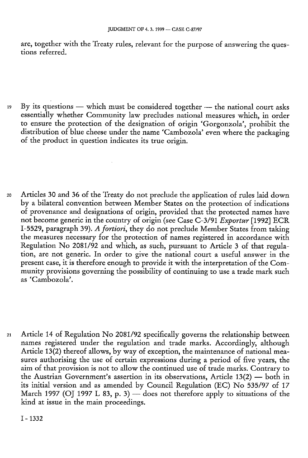are, together with the Treaty rules, relevant for the purpose of answering the questions referred.

- 19 By its questions which must be considered together the national court asks essentially whether Community law precludes national measures which, in order to ensure the protection of the designation of origin 'Gorgonzola', prohibit the distribution of blue cheese under the name 'Cambozola' even where the packaging of the product in question indicates its true origin.
- 20 Articles 30 and 36 of the Treaty do not preclude the application of rules laid down by a bilateral convention between Member States on the protection of indications of provenance and designations of origin, provided that the protected names have not become generic in the country of origin (see Case C-3/91 *Exportur* [1992] ECR 1-5529, paragraph 39). *A fortiori,* they do not preclude Member States from taking the measures necessary for the protection of names registered in accordance with Regulation No 2081/92 and which, as such, pursuant to Article 3 of that regulation, are not generic. In order to give the national court a useful answer in the present case, it is therefore enough to provide it with the interpretation of the Community provisions governing the possibility of continuing to use a trade mark such as 'Cambozola'.
- 21 Article 14 of Regulation No 2081/92 specifically governs the relationship between names registered under the regulation and trade marks. Accordingly, although Article 13(2) thereof allows, by way of exception, the maintenance of national measures authorising the use of certain expressions during a period of five years, the aim of that provision is not to allow the continued use of trade marks. Contrary to the Austrian Government's assertion in its observations, Article 13(2) — both in its initial version and as amended by Council Regulation (EC) No  $535/97$  of 17 March 1997 (OJ 1997 L 83, p. 3) — does not therefore apply to situations of the kind at issue in the main proceedings.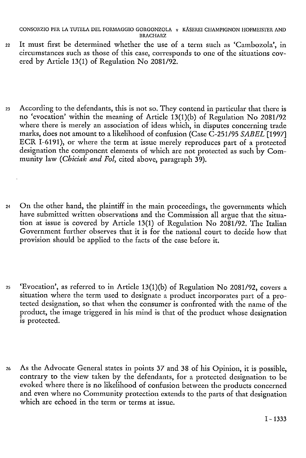- 22 It must first be determined whether the use of a term such as 'Cambozola', in circumstances such as those of this case, corresponds to one of the situations covered by Article 13(1) of Regulation No 2081/92.
- 23 According to the defendants, this is not so. They contend in particular that there is no 'evocation' within the meaning of Article 13(1)(b) of Regulation No 2081/92 where there is merely an association of ideas which, in disputes concerning trade marks, does not amount to a likelihood of confusion (Case C-251/95 *SABEL* [1997] ECR 1-6191), or where the term at issue merely reproduces part of a protected designation the component elements of which are not protected as such by Community law *(Chiciak and Fol,* cited above, paragraph 39).
- 24 On the other hand, the plaintiff in the main proceedings, the governments which have submitted written observations and the Commission all argue that the situation at issue is covered by Article 13(1) of Regulation No 2081/92. The Italian Government further observes that it is for the national court to decide how that provision should be applied to the facts of the case before it.
- 25 'Evocation', as referred to in Article 13(l)(b) of Regulation No 2081/92, covers a situation where the term used to designate a product incorporates part of a protected designation, so that when the consumer is confronted with the name of the product, the image triggered in his mind is that of the product whose designation is protected.
- 26 As the Advocate General states in points 37 and 38 of his Opinion, it is possible, contrary to the view taken by the defendants, for a protected designation to be evoked where there is no likelihood of confusion between the products concerned and even where no Community protection extends to the parts of that designation which are echoed in the term or terms at issue.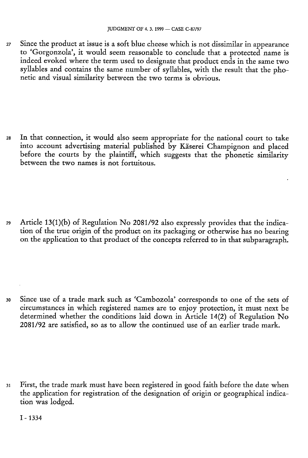27 Since the product at issue is a soft blue cheese which is not dissimilar in appearance to 'Gorgonzola', it would seem reasonable to conclude that a protected name is indeed evoked where the term used to designate that product ends in the same two syllables and contains the same number of syllables, with the result that the phonetic and visual similarity between the two terms is obvious.

28 In that connection, it would also seem appropriate for the national court to take into account advertising material published by Käserei Champignon and placed before the courts by the plaintiff, which suggests that the phonetic similarity between the two names is not fortuitous.

29 Article 13(l)(b) of Regulation No 2081/92 also expressly provides that the indication of the true origin of the product on its packaging or otherwise has no bearing on the application to that product of the concepts referred to in that subparagraph.

30 Since use of a trade mark such as 'Cambozola' corresponds to one of the sets of circumstances in which registered names are to enjoy protection, it must next be determined whether the conditions laid down in Article 14(2) of Regulation No 2081/92 are satisfied, so as to allow the continued use of an earlier trade mark.

31 First, the trade mark must have been registered in good faith before the date when the application for registration of the designation of origin or geographical indication was lodged.

I-1334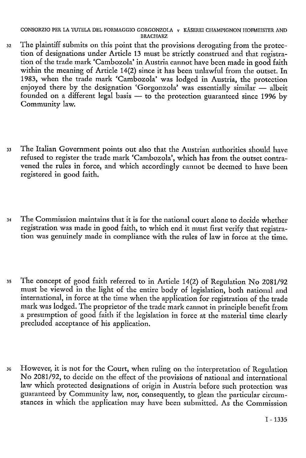- 32 The plaintiff submits on this point that the provisions derogating from the protection of designations under Article 13 must be strictly construed and that registration of the trade mark 'Cambozola' in Austria cannot have been made in good faith within the meaning of Article 14(2) since it has been unlawful from the outset. In 1983, when the trade mark 'Cambozola' was lodged in Austria, the protection enjoyed there by the designation 'Gorgonzola' was essentially similar — albeit founded on a different legal basis — to the protection guaranteed since 1996 by Community law.
- 33 The Italian Government points out also that the Austrian authorities should have refused to register the trade mark 'Cambozola', which has from the outset contravened the rules in force, and which accordingly cannot be deemed to have been registered in good faith.
- 34 The Commission maintains that it is for the national court alone to decide whether registration was made in good faith, to which end it must first verify that registration was genuinely made in compliance with the rules of law in force at the time.
- 35 The concept of good faith referred to in Article 14(2) of Regulation No 2081/92 must be viewed in the light of the entire body of legislation, both national and international, in force at the time when the application for registration of the trade mark was lodged. The proprietor of the trade mark cannot in principle benefit from a presumption of good faith if the legislation in force at the material time clearly precluded acceptance of his application.
- 36 However, it is not for the Court, when ruling on the interpretation of Regulation No 2081/92, to decide on the effect of the provisions of national and international law which protected designations of origin in Austria before such protection was guaranteed by Community law, nor, consequently, to glean the particular circumstances in which the application may have been submitted. As the Commission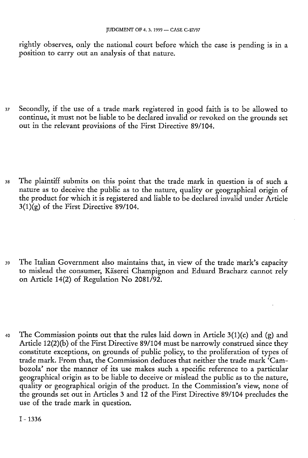rightly observes, only the national court before which the case is pending is in a position to carry out an analysis of that nature.

37 Secondly, if the use of a trade mark registered in good faith is to be allowed to continue, it must not be liable to be declared invalid or revoked on the grounds set out in the relevant provisions of the First Directive 89/104.

38 The plaintiff submits on this point that the trade mark in question is of such a nature as to deceive the public as to the nature, quality or geographical origin of the product for which it is registered and liable to be declared invalid under Article  $3(1)(g)$  of the First Directive 89/104.

39 The Italian Government also maintains that, in view of the trade mark's capacity to mislead the consumer, Käserei Champignon and Eduard Bracharz cannot rely on Article 14(2) of Regulation No  $2081/92$ .

40 The Commission points out that the rules laid down in Article  $3(1)(c)$  and  $(g)$  and Article 12(2)(b) of the First Directive 89/104 must be narrowly construed since they constitute exceptions, on grounds of public policy, to the proliferation of types of trade mark. From that, the Commission deduces that neither the trade mark 'Cambozola' nor the manner of its use makes such a specific reference to a particular geographical origin as to be liable to deceive or mislead the public as to the nature, quality or geographical origin of the product. In the Commission's view, none of the grounds set out in Articles 3 and 12 of the First Directive 89/104 precludes the use of the trade mark in question.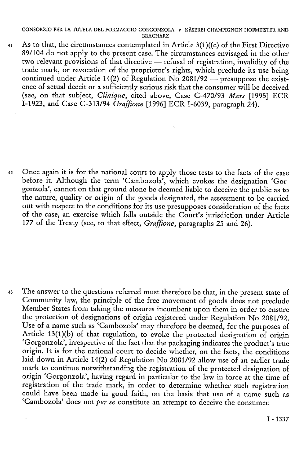4i As to that, the circumstances contemplated in Article 3(l)((c) of the First Directive 89/104 do not apply to the present case. The circumstances envisaged in the other two relevant provisions of that directive — refusal of registration, invalidity of the trade mark, or revocation of the proprietor's rights, which preclude its use being continued under Article 14(2) of Regulation No 2081/92 — presuppose the existence of actual deceit or a sufficiently serious risk that the consumer will be deceived (see, on that subject, *Clinique,* cited above, Case C-470/93 *Mars* [1995] ECR 1-1923, and Case C-313/94 *Graffiane* [1996] ECR 1-6039, paragraph 24).

42 Once again it is for the national court to apply those tests to the facts of the case before it. Although the term 'Cambozola', which evokes the designation 'Gorgonzola', cannot on that ground alone be deemed liable to deceive the public as to the nature, quality or origin of the goods designated, the assessment to be carried out with respect to the conditions for its use presupposes consideration of the facts of the case, an exercise which falls outside the Court's jurisdiction under Article 177 of the Treaty (see, to that effect, *Graffiane,* paragraphs 25 and 26).

43 The answer to the questions referred must therefore be that, in the present state of Community law, the principle of the free movement of goods does not preclude Member States from taking the measures incumbent upon them in order to ensure the protection of designations of origin registered under Regulation No 2081/92. Use of a name such as 'Cambozola' may therefore be deemed, for the purposes of Article 13(1)(b) of that regulation, to evoke the protected designation of origin 'Gorgonzola', irrespective of the fact that the packaging indicates the product's true origin. It is for the national court to decide whether, on the facts, the conditions laid down in Article 14(2) of Regulation No 2081/92 allow use of an earlier trade mark to continue notwithstanding the registration of the protected designation of origin 'Gorgonzola', having regard in particular to the law in force at the time of registration of the trade mark, in order to determine whether such registration could have been made in good faith, on the basis that use of a name such as 'Cambozola' does not *per se* constitute an attempt to deceive the consumer.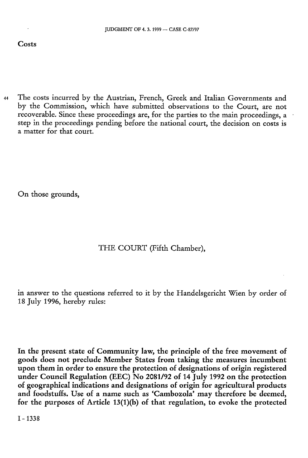44 The costs incurred by the Austrian, French, Greek and Italian Governments and by the Commission, which have submitted observations to the Court, are not recoverable. Since these proceedings are, for the parties to the main proceedings, a step in the proceedings pending before the national court, the decision on costs is a matter for that court.

On those grounds,

# THE COURT (Fifth Chamber),

in answer to the questions referred to it by the Handelsgericht Wien by order of 18 July 1996, hereby rules:

**In the present state of Community law, the principle of the free movement of goods does not preclude Member States from taking the measures incumbent upon them in order to ensure the protection of designations of origin registered under Council Regulation (EEC) No 2081/92 of 14 July 1992 on the protection of geographical indications and designations of origin for agricultural products and foodstuffs. Use of a name such as 'Cambozola' may therefore be deemed,**  for the purposes of Article 13(1)(b) of that regulation, to evoke the protected